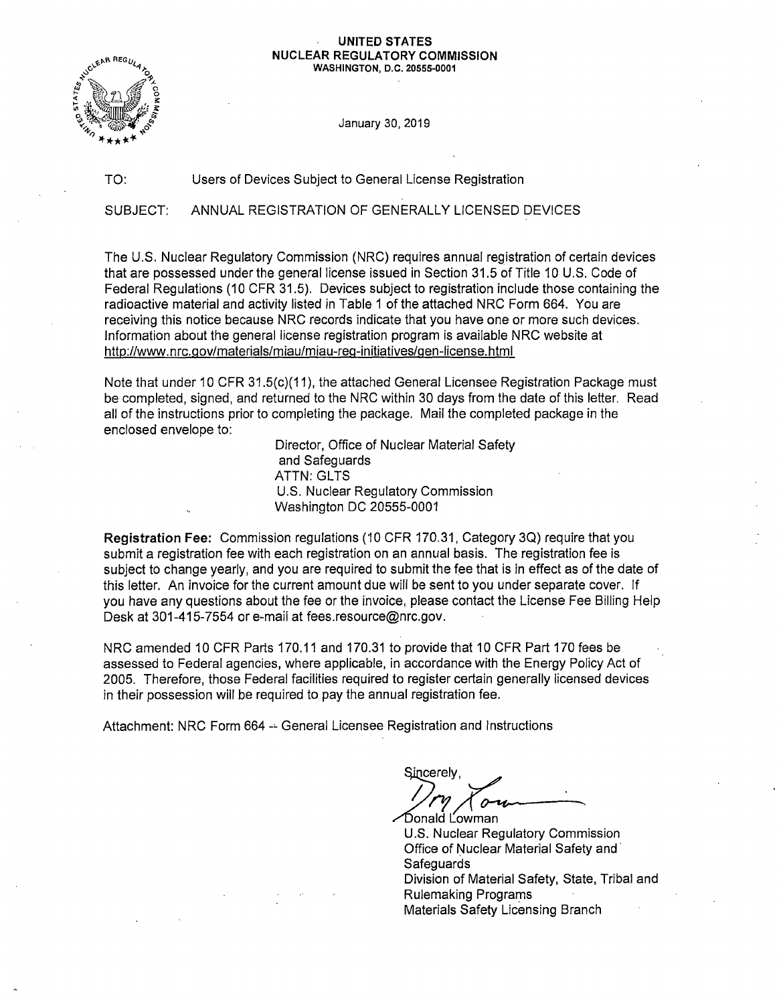#### **UNITED STATES NUCLEAR REGULATORY COMMISSION**

**WASHINGTON, D.C. 20555-0001** 



January 30, 2019

#### TO: Users of Devices Subject to General License Registration

SUBJECT: ANNUAL REGISTRATION OF GENERALLY LICENSED DEVICES

The U.S. Nuclear Regulatory Commission (NRC) requires annual registration of certain devices that are possessed under the general license issued in Section 31.5 of Title 10 U.S. Code of Federal Regulations (10 CFR 31.5). Devices subject to registration include those containing the radioactive material and activity listed in Table 1 of the attached NRC Form 664. You are receiving this notice because NRC records indicate that you have one or more such devices. Information about the general license registration program is available NRC website at http://www.nrc.gov/materials/miau/miau-reg-initiatives/gen-license.html

Note that under 10 CFR 31.5(c)(11), the attached General Licensee Registration Package must be completed, signed, and returned to the NRC within 30 days from the date of this letter. Read all of the instructions prior to completing the package. Mail the completed package in the enclosed envelope to:

> Director, Office of Nuclear Material Safety and Safeguards **ATTN: GLTS** U.S. Nuclear Regulatory Commission Washington DC 20555-0001

**Registration Fee:** Commission regulations (10 CFR 170.31, Category 30) require that you submit a registration fee with each registration on an annual basis. The registration fee is subject to change yearly, and you are required to submit the fee that is in effect as of the date of this letter. An invoice for the current amount due will be sent to you under separate cover. If you have any questions about the fee or the invoice, please contact the License Fee Billing Help Desk at 301-415-7554 or e-mail at fees.resource@nrc.gov.

NRC amended 10 CFR Parts 170.11 and 170.31 to provide that 10 CFR Part 170 fees be assessed to Federal agencies, where applicable, in accordance with the Energy Policy Act of 2005. Therefore, those Federal facilities required to register certain generally licensed devices in their possession will be required to pay the annual registration fee.

Attachment: NRC Form 664 -- General Licensee Registration and Instructions

Sincerely erely,<br> *ry Com*<br>
ald Lowman

Donald Lowman U.S. Nuclear Regulatory Commission Office of Nuclear Material Safety and· **Safeguards** Division of Material Safety, State, Tribal and Rulemaking Programs Materials Safety Licensing Branch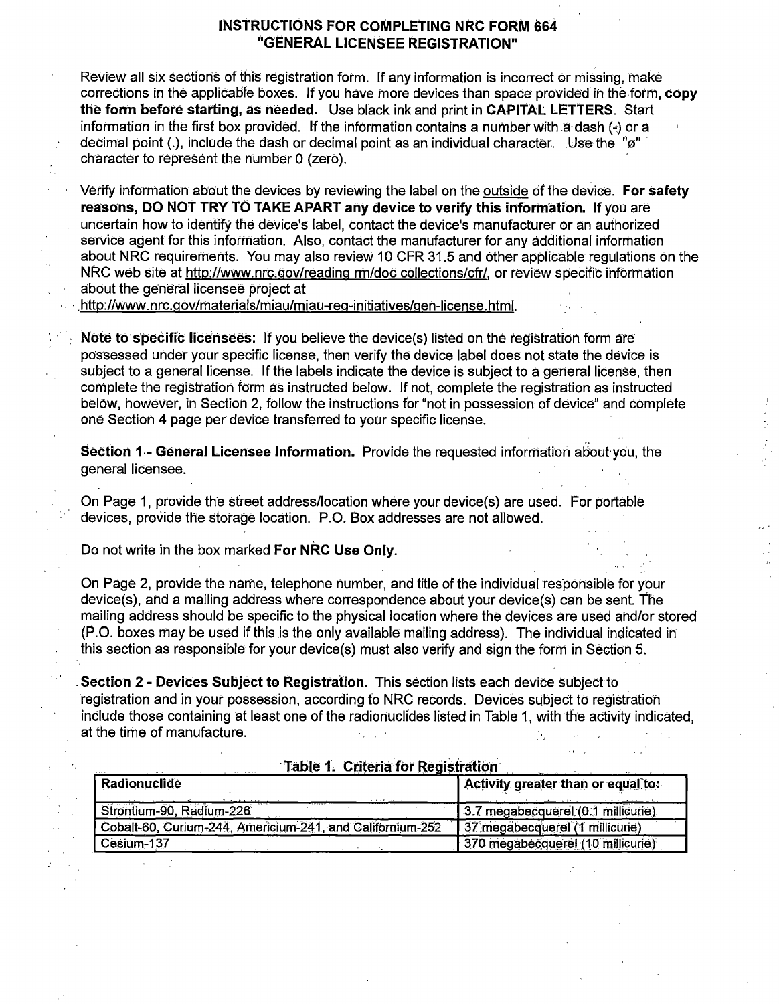#### **INSTRUCTIONS FOR COMPLETING NRC FORM 664 ''GENERAL LICENSEE REGISTRATION"**

- Review all six sections of this registration form. If any information is incorrect or missing, make corrections in the applicable boxes. If you have more devices than space provided in the form, **copy the form before starting, as needed.** Use black ink and print in **CAPITAL LETTERS.** Start information in the first box provided. If the information contains a number with  $\ddot{a}$  dash (-) or a decimal point (.), include the dash or decimal point as an individual character. . Use the "ø" character to represent the number O (zero).
- Verify information about the devices by reviewing the label on the outside of the device. **For safety** reasons, DO NOT TRY TO TAKE APART any device to verify this information. If you are uncertain how to identify the device's label, contact the device's manufacturer or an authorized service agent for this information. Also, contact the manufacturer for any additional information about NRC requirements. You may also review 10 CFR 31.5 and other appiicable regulations on the NRC web site at http://www.nrc.gov/reading rm/doc collections/cfr/, or review specific information about the general licensee project at

http://www.nrc.gov/materials/miau/miau-reg-initiatives/gen-license.html.

**Note to specific licensees:** If you believe the device(s) listed on the registration form are possessed under your specific license, then verify the device label does not state the device is subject to a general license. If the labels indicate the device is subject to a general license, then complete the registration form as instructed below. If not, complete the registration as instructed below, however, in Section 2, follow the instructions for "not in possession of device" and complete one Section 4 page per device transferred to your specific license.

**Section 1 - General Licensee Information.** Provide the requested information about you, the general licensee.

On Page 1, provide the street address/location where your device(s) are used. For portable devices, provide the storage location. P.O. Box addresses are not allowed.

Do not write in the box marked **For NRC Use Only.** 

 $\sim$  .

On Page 2, provide the name, telephone number, and title of the individual responsible for your device(s), and a mailing address where correspondence about your device(s) can be sent. The mailing address should be specific to the physical location where the devices are used and/or stored (P.O. boxes may be used if this is the only available mailing address). The individual indicated in this section as responsible for your device(s) must also verify and sign the form in Section 5.

**Section 2** - **Devices Subject to Registration.** This section lists each device Subject to registration and in your possession, according to NRC records. Devices subject to registration include those containing at least one of the radionuclides listed in Table 1, with the activity indicated, at the time of manufacture.  $\mathcal{A}^{\mathrm{c}}$  and  $\mathcal{A}^{\mathrm{c}}$ 

|  | <b>Table 1. Criteria for Registration</b> |
|--|-------------------------------------------|
|  |                                           |

| Radionuclide                                              | Activity greater than or equal to: |
|-----------------------------------------------------------|------------------------------------|
| Strontium-90, Radium-226                                  | 3.7 megabecquerel (0.1 millicurie) |
| Cobalt-60, Curium-244, Americium-241, and Californium-252 | 37 megabecquerel (1 millicurie)    |
| Cesium-137                                                | 370 megabecquerel (10 millicurie)  |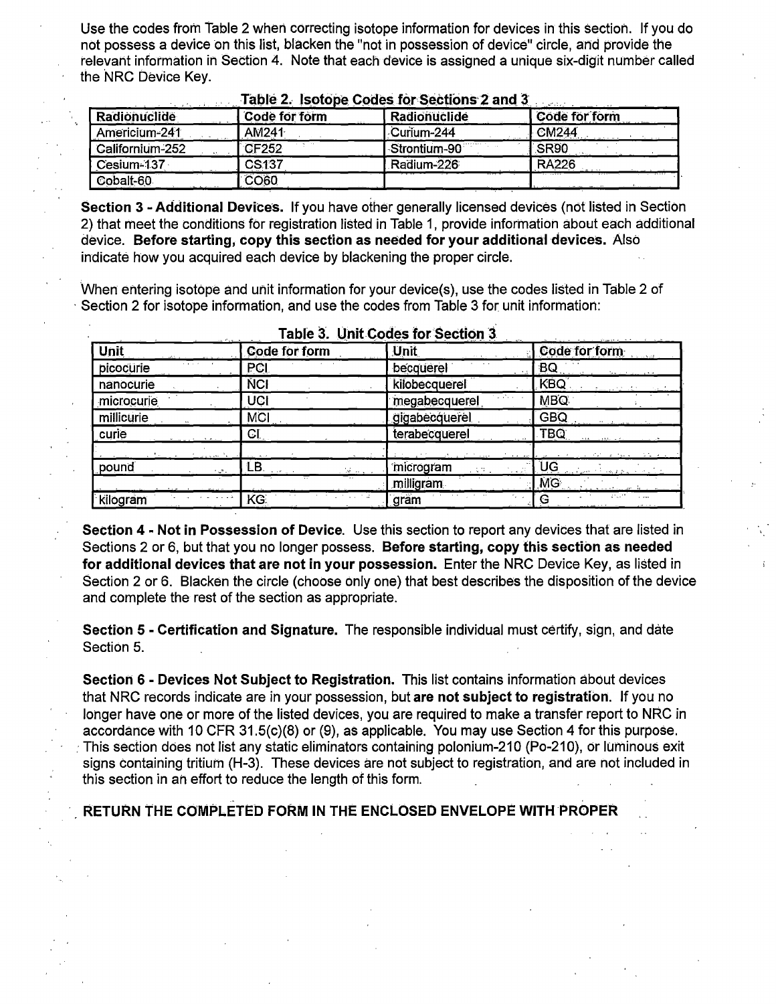Use the codes from Table 2 when correcting isotope information for devices in this section. If you do not possess a device on this list, blacken the "not in possession of device" circle, and provide the relevant information in Section 4. Note that each device is assigned a unique six-digit number called the NRC Device Key.

| Radionuclide    | Code for form            | Radionuclide | Code for form |
|-----------------|--------------------------|--------------|---------------|
| Americium-241   | <b>AM241</b>             | Curium-244   | <b>CM244</b>  |
| Californium-252 | $\cdots$<br><b>CF252</b> | Strontium-90 | <b>SR90</b>   |
| Cesium-137      | CS <sub>137</sub>        | Radium-226   | <b>RA226</b>  |
| Cobalt-60       | <b>CO60</b>              |              |               |

#### Table 2. Isotone Codes for Sections 2 and 3

**Section 3 - Additional Devices.** If you have other generally licensed devices (not listed in Section 2) that meet the conditions for registration listed in Table 1, provide information about each additional device. **Before starting, copy this section as needed for your additional devices.** Also indicate how you acquired each device by blackening the proper circle.

When entering isotope and unit information for your device(s), use the codes listed in Table 2 of · Section 2 for isotope information, and use the codes from Table 3 for unit information:

| Unit               | a matematic company and a matematic<br>Code for form | $ -$<br><b>Unit</b>                   | $\mathbf{v}^{\prime}$ and the set of the set of the set of the set of the set of the set of the set of the set of the set of the set of the set of the set of the set of the set of the set of the set of the set of the set of the se<br>Code for form |
|--------------------|------------------------------------------------------|---------------------------------------|---------------------------------------------------------------------------------------------------------------------------------------------------------------------------------------------------------------------------------------------------------|
| picocurie          | PCI                                                  | becquerel                             | BQ                                                                                                                                                                                                                                                      |
| nanocurie          | <b>NCI</b>                                           | kilobecquerel                         | KBQ                                                                                                                                                                                                                                                     |
| microcurie         | UCI                                                  | المتحالف المر<br>megabecquerel        | <b>MBQ</b>                                                                                                                                                                                                                                              |
| millicurie         | <b>MCI</b>                                           | gigabecquerel                         | <b>GBQ</b>                                                                                                                                                                                                                                              |
| curie              | CI.                                                  | terabecquerel                         | TBQ:                                                                                                                                                                                                                                                    |
|                    |                                                      |                                       |                                                                                                                                                                                                                                                         |
| pound<br>ال في الأ | LB.<br>ر بن قبلا                                     | microgram<br>いくつ こ<br>$1 - 2 = 1 - 1$ | UĢ                                                                                                                                                                                                                                                      |
|                    | $\overline{a}$                                       | milligram                             | MG                                                                                                                                                                                                                                                      |
| kilogram           | KG:                                                  | gram                                  | $\sim$                                                                                                                                                                                                                                                  |

**Table 3. Unit Codes for Section 3.** 

**Section 4** - **Not in Possession of Device.** Use this section to report any devices that are listed in Sections 2 or 6, but that you no longer possess. **Before starting, copy this section as needed for additional devices that are not in your possession.** Enter the NRG Device Key, as listed in Section 2 or 6. Blacken the circle (choose only one) that best describes the disposition of the device and complete the rest of the section as appropriate.

**Section 5** - **Certification and Signature.** The responsible individual must certify, sign, and date Section 5.

**Section 6** - **Devices Not Subject to Registration.** This list contains information about devices that NRC records indicate are in your possession, but **are not subject to registration.** If you no longer have one or more of the listed devices, you are required to make a transfer report to NRC in accordance with 10 GFR 31.5(c)(8) or (9), as applicable. You may use Section 4 for this purpose. · This section does not list any static eliminators containing polonium-210 (Po-210), or luminous exit signs containing tritium (H-3). These devices are not subject to registration, and are not included in this section in an effort to reduce the length of this form.

.<br>1998 - Latin Harry Barnett, amerikanischer Karl (b. 1989) **RETURN THE CO'MPLETEO FORM IN THE ENCLOSED ENVELOPE WITH PROPER**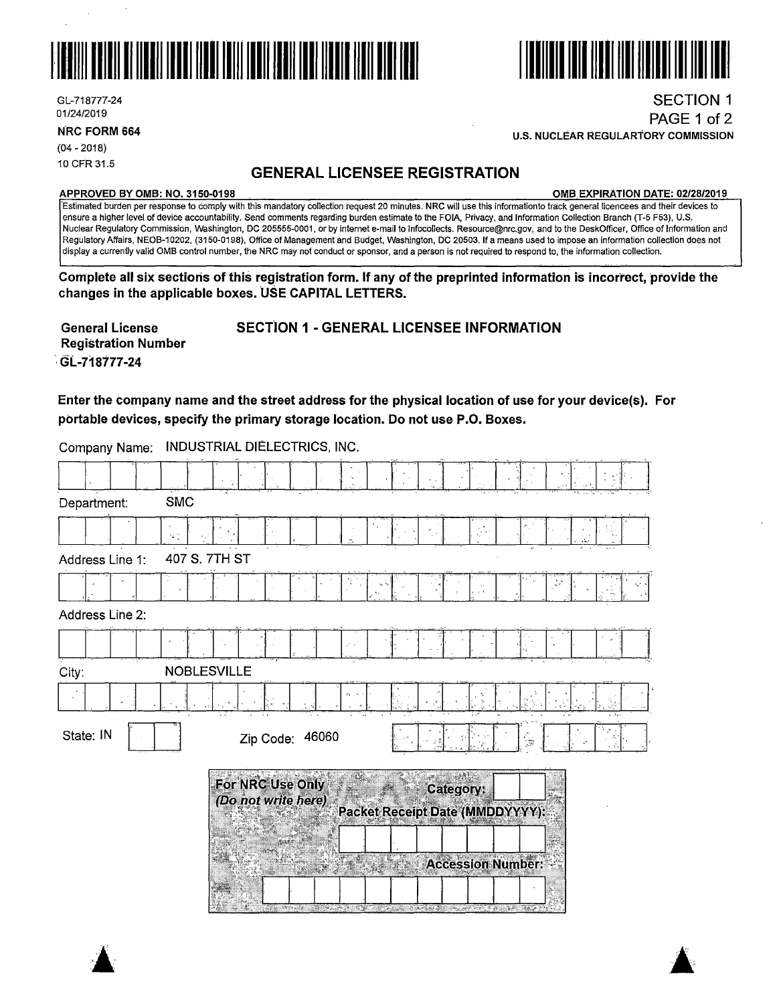



**NRC FORM 664** 

(04 - 2018) 10 CFR 31.5

# **GENERAL LICENSEE REGISTRATION**

#### **APPROVED BY 0MB: NO. 3150-0198 0MB EXPIRATION DATE: 02/28/2019**

SECTION 1 PAGE 1 of 2

·Estimated burden per response to comply with this mandatory collection request 20 minutes. **NRG will** use this informationto track general licencees and their devices to ensure a higher level of device accountability. Send comments regarding burden estimate to the FOIA, Privacy, and Information Collection Branch (T-5 F53), U.S. Nuclear Regulatory Commission, Washington, DC 205555-0001, or by internet e-mail to lnfocollects. Resource@nrc.gov, and to the DeskOfficer, Office of Information and Regulatory Affairs, NEOB-10202, (3150-0198), Office of Management and Budget, Washington, DC 20503. If a means used to impose an information collection does not display a currently valid 0MB control number, the NRG may not conduct or sponsor, and a person is not required to respond to, the information collection.

Complete all six sections of this registration form. If any of the preprinted information is incorrect, provide the changes in the applicable boxes. USE CAPITAL LETTERS.

**General License Registration Number**  · **GL.-718177-24 SECTION 1** - **GENERAL LICENSEE INFORMATION** 

**Enter the company name and the street address for the physical location of use for your device(s). For portable devices, specify the primary storage location. Do not use P.O. Boxes.** 

| Company Name:   | <b>INDUSTRIAL DIELECTRICS, INC.</b>                                                                             |
|-----------------|-----------------------------------------------------------------------------------------------------------------|
|                 |                                                                                                                 |
| Department:     | <b>SMC</b>                                                                                                      |
|                 | $\bigoplus_{i=1}^p \mathcal{F}_i$                                                                               |
| Address Line 1: | 407 S. 7TH ST                                                                                                   |
|                 |                                                                                                                 |
| Address Line 2: |                                                                                                                 |
|                 | $\mathcal{F}$ . $\mathcal{F}$                                                                                   |
| City:           | <b>NOBLESVILLE</b>                                                                                              |
|                 | $S_2 \rightarrow$                                                                                               |
| State: IN       | Zip Code: 46060<br>्रह                                                                                          |
|                 | For NRC Use Only<br>Category:<br>(Do not write here)<br>Packet Receipt Date (MMDDYYYY):                         |
|                 | <b>Accession Number:</b>                                                                                        |
|                 | and the state of the state of the state of the state of the state of the state of the state of the state of the |







**U.S. NUCLEAR REGULARTORY COMMISSION**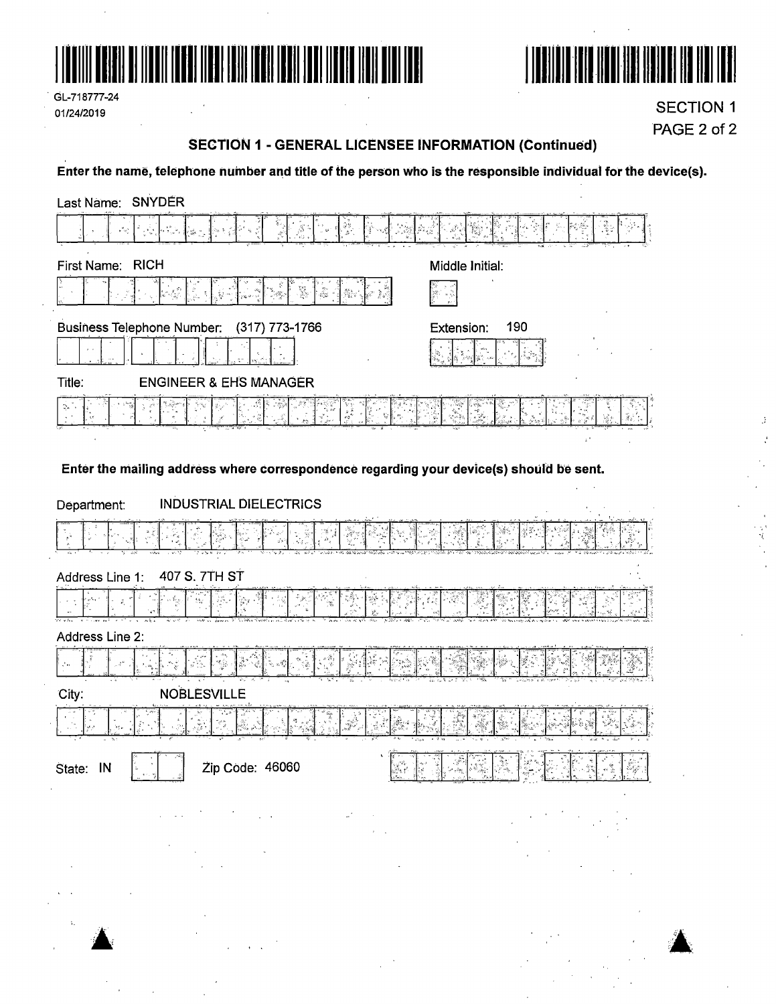



GL-718777-24 01/24/2019

**SECTION 1** PAGE 2 of 2

> $\beta$  $\hat{\vec{v}}$

ý,

# **SECTION 1 - GENERAL LICENSEE INFORMATION (Continued)**

Enter the name, telephone number and title of the person who is the responsible individual for the device(s).

| Last Name: SNYDER                                                                                                                                                                       |                   |
|-----------------------------------------------------------------------------------------------------------------------------------------------------------------------------------------|-------------------|
| ీ<br>جائم                                                                                                                                                                               |                   |
| <b>RICH</b><br>First Name:                                                                                                                                                              | Middle Initial:   |
| $\begin{array}{c} \mathbb{E}[\mathbb{E}_{\mathbb{E}_{\mathbb{E}_{\mathbb{E}}}}] \\ \mathbb{E}_{\mathbb{E}_{\mathbb{E}}}\mathbb{E}_{\mathbb{E}_{\mathbb{E}}}} \end{array}$<br>s la ja pa | ्हे।<br>स         |
| <b>Business Telephone Number:</b><br>(317) 773-1766                                                                                                                                     | 190<br>Extension: |
|                                                                                                                                                                                         |                   |
| Title:<br><b>ENGINEER &amp; EHS MANAGER</b>                                                                                                                                             |                   |
|                                                                                                                                                                                         |                   |
|                                                                                                                                                                                         |                   |
| Enter the mailing address where correspondence regarding your device(s) should be sent.                                                                                                 |                   |
| <b>INDUSTRIAL DIELECTRICS</b><br>Department:                                                                                                                                            |                   |
|                                                                                                                                                                                         |                   |
| 407 S. 7TH ST<br>Address Line 1:                                                                                                                                                        |                   |
| ھ ڳ                                                                                                                                                                                     |                   |
| Address Line 2:                                                                                                                                                                         |                   |
|                                                                                                                                                                                         |                   |
| <b>NOBLESVILLE</b><br>City:                                                                                                                                                             |                   |
|                                                                                                                                                                                         |                   |
| Zip Code: 46060<br>State: IN                                                                                                                                                            | Ra                |
|                                                                                                                                                                                         |                   |
|                                                                                                                                                                                         |                   |
|                                                                                                                                                                                         |                   |

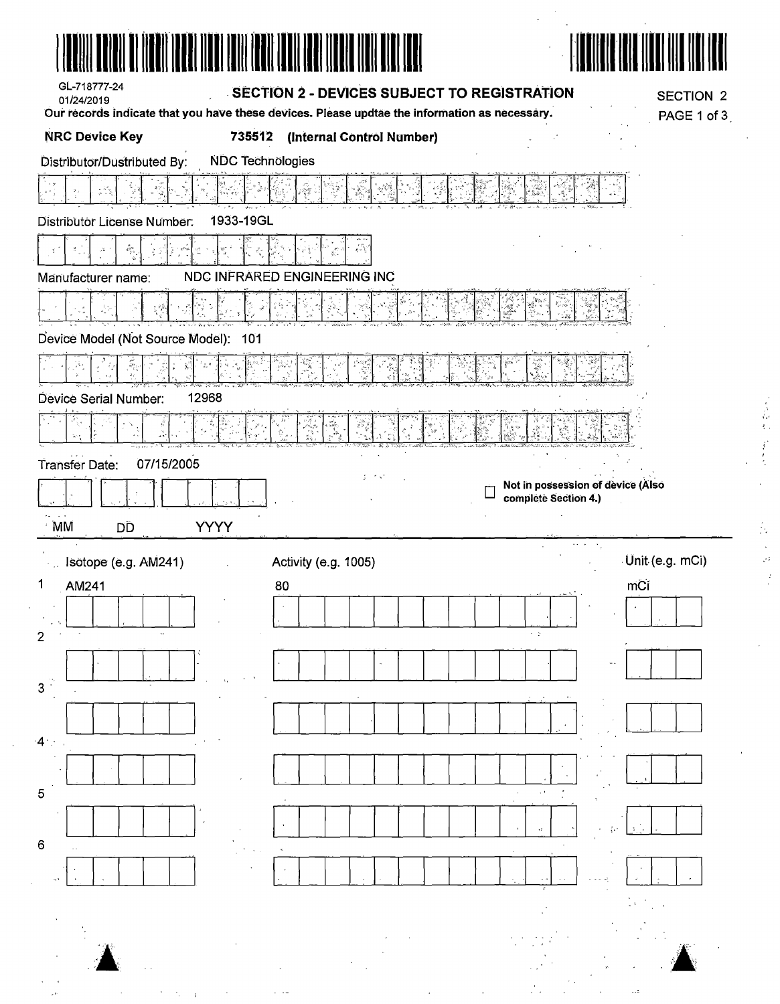| GL-718777-24<br>01/24/2019           | SECTION 2 - DEVICES SUBJECT TO REGISTRATION                                                   | <b>SECTION 2</b>                  |
|--------------------------------------|-----------------------------------------------------------------------------------------------|-----------------------------------|
|                                      | Our records indicate that you have these devices. Please updtae the information as necessary. | PAGE 1 of 3                       |
| <b>NRC Device Key</b>                | 735512 (Internal Control Number)                                                              |                                   |
| Distributor/Dustributed By:          | <b>NDC Technologies</b>                                                                       |                                   |
|                                      |                                                                                               |                                   |
| Distributor License Number.          | 1933-19GL                                                                                     |                                   |
|                                      |                                                                                               |                                   |
| Manufacturer name:                   | NDC INFRARED ENGINEERING INC                                                                  |                                   |
|                                      |                                                                                               |                                   |
| Device Model (Not Source Model): 101 |                                                                                               |                                   |
|                                      |                                                                                               |                                   |
| Device Serial Number:                | 12968                                                                                         |                                   |
|                                      |                                                                                               |                                   |
|                                      |                                                                                               |                                   |
| Transfer Date:<br>07/15/2005         | t i Kal                                                                                       | Not in possession of device (Also |
|                                      |                                                                                               | complete Section 4.)              |
| MM<br>DD                             | <b>YYYY</b>                                                                                   |                                   |
| Isotope (e.g. AM241)                 | Activity (e.g. 1005)                                                                          | Unit (e.g. mCi)                   |
| 1<br>AM241                           | 80                                                                                            | mCi                               |
|                                      |                                                                                               |                                   |
|                                      |                                                                                               |                                   |
|                                      |                                                                                               |                                   |
| 3                                    |                                                                                               |                                   |
|                                      |                                                                                               |                                   |
|                                      |                                                                                               |                                   |
| 5                                    |                                                                                               |                                   |
|                                      |                                                                                               |                                   |
| 6                                    |                                                                                               |                                   |
|                                      |                                                                                               |                                   |
|                                      |                                                                                               |                                   |
|                                      |                                                                                               |                                   |
|                                      |                                                                                               |                                   |
|                                      |                                                                                               |                                   |
|                                      |                                                                                               |                                   |

医鼻部的 医红色 人名英格兰人姓氏法德的变体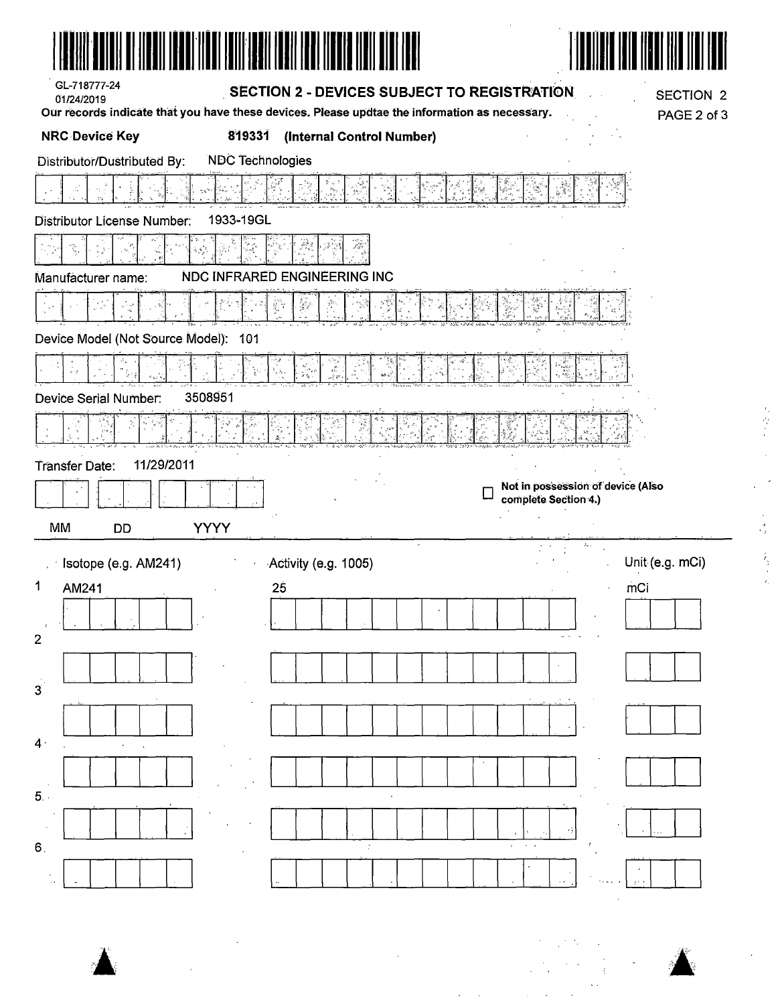| GL-718777-24<br>01/24/2019                                     | SECTION 2 - DEVICES SUBJECT TO REGISTRATION                                                   | <b>SECTION 2</b>                                          |
|----------------------------------------------------------------|-----------------------------------------------------------------------------------------------|-----------------------------------------------------------|
|                                                                | Our records indicate that you have these devices. Please updtae the information as necessary. | PAGE 2 of 3                                               |
| <b>NRC Device Key</b><br>819331                                | (Internal Control Number)                                                                     |                                                           |
| <b>NDC Technologies</b><br>Distributor/Dustributed By:         |                                                                                               |                                                           |
|                                                                |                                                                                               |                                                           |
| 1933-19GL<br>Distributor License Number:                       |                                                                                               |                                                           |
|                                                                | تأذر                                                                                          |                                                           |
| Manufacturer name:                                             | NDC INFRARED ENGINEERING INC                                                                  |                                                           |
|                                                                | ğ,                                                                                            |                                                           |
| Device Model (Not Source Model):<br>101                        |                                                                                               |                                                           |
|                                                                | $\mathbf{R}_{\mathbf{a}}$ ,                                                                   |                                                           |
| 3508951<br>Device Serial Number:                               |                                                                                               |                                                           |
|                                                                |                                                                                               |                                                           |
| 11/29/2011<br>Transfer Date:<br>MM<br><b>YYYY</b><br><b>DD</b> |                                                                                               | Not in possession of device (Also<br>complete Section 4.) |
| State (e.g. AM241)                                             | Activity (e.g. 1005)                                                                          | Unit (e.g. mCi)                                           |
| $\ddot{\mathbf{1}}$<br>AM241                                   | 25                                                                                            | mCi                                                       |
|                                                                |                                                                                               |                                                           |
| $\overline{2}$                                                 |                                                                                               | $\cdots$                                                  |
| 3 <sup>2</sup>                                                 |                                                                                               |                                                           |
| $\ddot{4}$                                                     |                                                                                               |                                                           |
| 5.                                                             |                                                                                               |                                                           |
|                                                                | $\sim 10$                                                                                     | ٠                                                         |
| 6.                                                             | $\overline{\mathcal{I}}$                                                                      |                                                           |

 $\label{eq:2.1} \frac{1}{\sqrt{2}}\int_{\mathbb{R}^3}\frac{1}{\sqrt{2}}\left(\frac{1}{\sqrt{2}}\right)^2\frac{1}{\sqrt{2}}\left(\frac{1}{\sqrt{2}}\right)^2\frac{1}{\sqrt{2}}\left(\frac{1}{\sqrt{2}}\right)^2.$ 

k)<br>S

 $\frac{1}{2}$ 

Å

 $\frac{1}{\sqrt{2}}$ 

 $\frac{1}{2}$ 

网络红 医心理 人名格兰特尔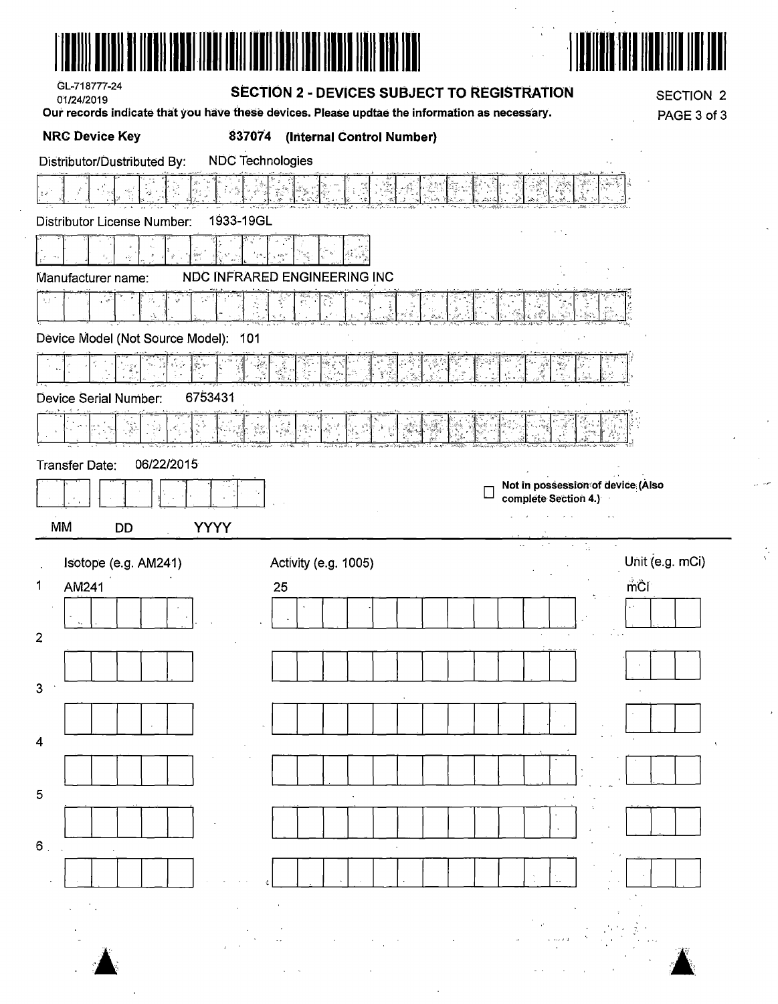| 01/24/2019                         | GL-718777-24                         |                  | <b>SECTION 2 - DEVICES SUBJECT TO REGISTRATION</b> |                                           | Our records indicate that you have these devices. Please updtae the information as necessary. |           |                                                |                                   | <b>SECTION 2</b><br>PAGE 3 of 3 |
|------------------------------------|--------------------------------------|------------------|----------------------------------------------------|-------------------------------------------|-----------------------------------------------------------------------------------------------|-----------|------------------------------------------------|-----------------------------------|---------------------------------|
|                                    | <b>NRC Device Key</b>                |                  | 837074                                             |                                           | (Internal Control Number)                                                                     |           |                                                |                                   |                                 |
|                                    | Distributor/Dustributed By:          |                  |                                                    | <b>NDC Technologies</b>                   |                                                                                               |           |                                                |                                   |                                 |
| $\overline{\xi}$ $\overline{\psi}$ |                                      |                  |                                                    |                                           |                                                                                               |           |                                                |                                   |                                 |
|                                    | Distributor License Number:          |                  | 1933-19GL                                          |                                           |                                                                                               |           |                                                |                                   |                                 |
|                                    |                                      | šie<br>$\vec{x}$ |                                                    |                                           |                                                                                               |           |                                                |                                   |                                 |
|                                    | Manufacturer name:                   |                  |                                                    |                                           | <b>NDC INFRARED ENGINEERING INC</b>                                                           |           |                                                |                                   |                                 |
| $\mathcal{I}_{\alpha,2}$           | ್ಯ                                   |                  |                                                    | $\mathcal{P}_{\mathcal{A}}^{\mathcal{A}}$ |                                                                                               |           |                                                |                                   |                                 |
|                                    | Device Model (Not Source Model): 101 |                  |                                                    |                                           |                                                                                               |           |                                                |                                   |                                 |
|                                    |                                      |                  |                                                    |                                           |                                                                                               |           | 潔<br>$\frac{\partial \mathcal{F}}{\partial x}$ |                                   |                                 |
|                                    | Device Serial Number:                |                  | 6753431                                            |                                           |                                                                                               |           |                                                |                                   |                                 |
|                                    |                                      |                  |                                                    | . Jak<br>1왕의                              |                                                                                               |           |                                                |                                   |                                 |
|                                    |                                      |                  |                                                    |                                           |                                                                                               |           |                                                |                                   |                                 |
|                                    |                                      |                  |                                                    |                                           |                                                                                               |           |                                                |                                   |                                 |
|                                    |                                      | 06/22/2015       |                                                    |                                           |                                                                                               |           |                                                | Not in possession of device (Also |                                 |
| Transfer Date:                     |                                      |                  |                                                    |                                           |                                                                                               |           | complete Section 4.)<br>$\sim 10$              |                                   |                                 |
| МM                                 | DD                                   |                  | <b>YYYY</b>                                        |                                           |                                                                                               | $\ddotsc$ | $\sim$                                         | $\mathcal{L}_1$                   |                                 |
|                                    | Isotope (e.g. AM241)                 |                  |                                                    |                                           | Activity (e.g. 1005)                                                                          |           |                                                |                                   | Unit (e.g. mCi)                 |
| AM241                              |                                      |                  |                                                    | 25                                        |                                                                                               |           |                                                |                                   | mĈi                             |
| 1                                  |                                      |                  |                                                    |                                           |                                                                                               |           |                                                |                                   |                                 |
| $\overline{2}$                     |                                      |                  |                                                    |                                           |                                                                                               |           |                                                |                                   |                                 |
|                                    |                                      |                  |                                                    |                                           |                                                                                               |           |                                                |                                   |                                 |
|                                    |                                      |                  |                                                    |                                           |                                                                                               |           |                                                |                                   |                                 |
| 3<br>$\overline{4}$                |                                      |                  |                                                    |                                           |                                                                                               |           |                                                |                                   |                                 |
|                                    |                                      |                  |                                                    |                                           |                                                                                               |           |                                                |                                   |                                 |
| 5                                  |                                      |                  |                                                    |                                           |                                                                                               |           |                                                |                                   |                                 |
|                                    |                                      |                  |                                                    |                                           |                                                                                               |           |                                                |                                   |                                 |
| $\mathbf 6$ .                      |                                      |                  |                                                    |                                           |                                                                                               |           |                                                |                                   |                                 |

 $\sim$   $\sim$ 

 $\mathcal{L}^{\text{max}}_{\text{max}}$ 

 $\frac{1}{\sqrt{2}}$ 

 $\hat{\mathcal{E}}$ 

 $\frac{1}{\sqrt{2}}\left( \frac{1}{2}\right) ^{2}$  $\frac{1}{\sqrt{2}}$ 

 $\frac{1}{\sqrt{2}}$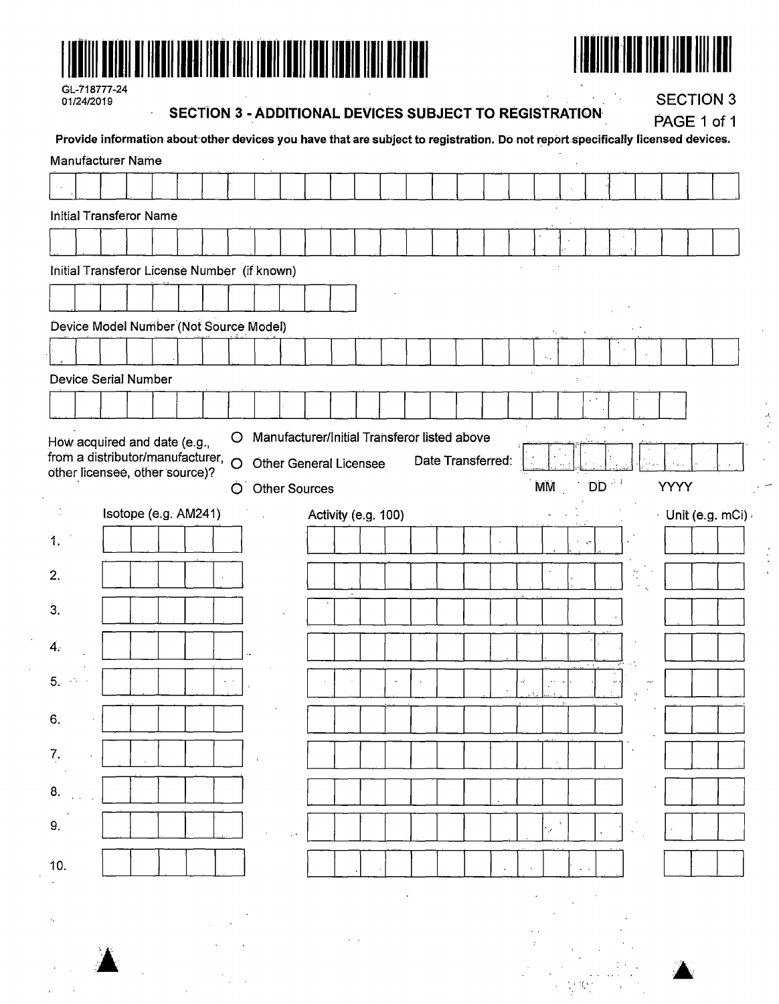



| GL-718777-24 |
|--------------|
| 01/24/2019   |

 $\overline{a}$ 

#### **SECTION 3 - ADDITIONAL DEVICES SUBJECT TO REGISTRATION**

**SECTION 3** 

 $\frac{2}{3}$ 

| Provide information about other devices you have that are subject to registration. Do not report specifically licensed devices. |                      |  |  |         |                                                  |  |                     |  |                   |           |                      |                 |     |  | PAGE 1 of 1 |                   |
|---------------------------------------------------------------------------------------------------------------------------------|----------------------|--|--|---------|--------------------------------------------------|--|---------------------|--|-------------------|-----------|----------------------|-----------------|-----|--|-------------|-------------------|
| <b>Manufacturer Name</b>                                                                                                        |                      |  |  |         |                                                  |  |                     |  |                   |           |                      |                 |     |  |             |                   |
|                                                                                                                                 |                      |  |  |         |                                                  |  |                     |  |                   |           |                      |                 |     |  |             |                   |
| <b>Initial Transferor Name</b>                                                                                                  |                      |  |  |         |                                                  |  |                     |  |                   |           |                      |                 |     |  |             |                   |
|                                                                                                                                 |                      |  |  |         |                                                  |  |                     |  |                   |           |                      |                 |     |  |             |                   |
| Initial Transferor License Number (if known)                                                                                    |                      |  |  |         |                                                  |  |                     |  |                   |           |                      |                 |     |  |             |                   |
|                                                                                                                                 |                      |  |  |         |                                                  |  |                     |  |                   |           |                      |                 |     |  |             |                   |
| Device Model Number (Not Source Model)                                                                                          |                      |  |  |         |                                                  |  |                     |  |                   |           |                      |                 |     |  |             |                   |
|                                                                                                                                 |                      |  |  |         |                                                  |  |                     |  |                   |           |                      |                 |     |  |             |                   |
| Device Serial Number                                                                                                            |                      |  |  |         |                                                  |  |                     |  |                   |           | $\ddot{\phantom{a}}$ |                 |     |  |             |                   |
|                                                                                                                                 |                      |  |  |         |                                                  |  |                     |  |                   |           |                      |                 |     |  |             |                   |
| other licensee, other source)?                                                                                                  | Isotope (e.g. AM241) |  |  | $\circ$ | <b>Other General Licensee</b><br>O Other Sources |  | Activity (e.g. 100) |  | Date Transferred: | <b>MM</b> |                      | <b>DD</b>       | 94) |  | YYYY        | - Unit (e.g. mCi) |
| 1.                                                                                                                              |                      |  |  |         |                                                  |  |                     |  |                   |           |                      | $\Lambda^{\pm}$ |     |  |             |                   |
| 2.                                                                                                                              |                      |  |  |         |                                                  |  |                     |  |                   |           |                      |                 |     |  |             |                   |
| $\mathbf{3}$                                                                                                                    |                      |  |  |         |                                                  |  |                     |  |                   |           |                      |                 |     |  |             |                   |
|                                                                                                                                 |                      |  |  |         |                                                  |  |                     |  |                   |           |                      |                 |     |  |             |                   |
| 4.                                                                                                                              |                      |  |  |         |                                                  |  |                     |  |                   |           |                      |                 |     |  |             |                   |
| 5.                                                                                                                              |                      |  |  |         |                                                  |  |                     |  |                   |           |                      |                 |     |  |             |                   |
| 6.                                                                                                                              |                      |  |  |         |                                                  |  |                     |  |                   |           |                      |                 |     |  |             |                   |
| 7.                                                                                                                              |                      |  |  |         |                                                  |  |                     |  |                   |           |                      |                 |     |  |             |                   |
| 8.                                                                                                                              |                      |  |  |         |                                                  |  |                     |  |                   |           |                      |                 |     |  |             |                   |
| 9.                                                                                                                              |                      |  |  |         |                                                  |  |                     |  |                   |           |                      |                 |     |  |             |                   |
| 10.                                                                                                                             |                      |  |  |         |                                                  |  |                     |  |                   |           |                      |                 |     |  |             |                   |
|                                                                                                                                 |                      |  |  |         |                                                  |  |                     |  |                   |           |                      |                 |     |  |             |                   |
|                                                                                                                                 |                      |  |  |         |                                                  |  |                     |  |                   |           |                      |                 |     |  |             |                   |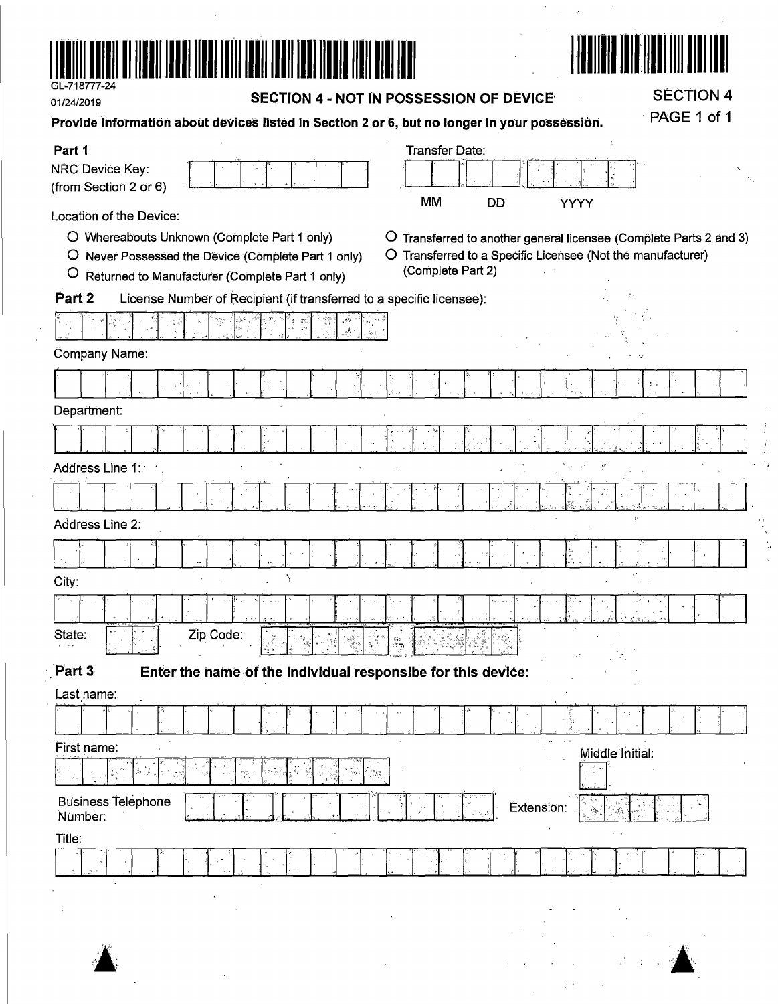

01/24/2019

SECTION 4 - NOT IN POSSESSION OF DEVICE

**SECTION 4** PAGE 1 of 1

计复数程序

 $\lambda$ 

 $\mathcal{L}(\mathbf{z}) = \mathbf{z} \in \mathbb{R}^{N \times N}$  . We have

 $\bar{\alpha}$ 

| Provide information about devices listed in Section 2 or 6, but no longer in your possession. |
|-----------------------------------------------------------------------------------------------|
|-----------------------------------------------------------------------------------------------|

| Part 1                                                                                                                            | Transfer Date:                                                                                                       |
|-----------------------------------------------------------------------------------------------------------------------------------|----------------------------------------------------------------------------------------------------------------------|
| NRC Device Key:                                                                                                                   |                                                                                                                      |
| (from Section 2 or 6)                                                                                                             | <b>MM</b><br>DD<br>YYYY                                                                                              |
| Location of the Device:                                                                                                           |                                                                                                                      |
| O Whereabouts Unknown (Complete Part 1 only)<br>$\circ$                                                                           | Transferred to another general licensee (Complete Parts 2 and 3)                                                     |
| O Never Possessed the Device (Complete Part 1 only)<br>$\circ$                                                                    | O Transferred to a Specific Licensee (Not the manufacturer)<br>(Complete Part 2)                                     |
| Returned to Manufacturer (Complete Part 1 only)<br>Part 2<br>License Number of Recipient (if transferred to a specific licensee): |                                                                                                                      |
|                                                                                                                                   |                                                                                                                      |
|                                                                                                                                   |                                                                                                                      |
| Company Name:                                                                                                                     |                                                                                                                      |
|                                                                                                                                   |                                                                                                                      |
| Department:                                                                                                                       |                                                                                                                      |
|                                                                                                                                   |                                                                                                                      |
| Address Line 1:                                                                                                                   |                                                                                                                      |
|                                                                                                                                   |                                                                                                                      |
| Address Line 2:                                                                                                                   | $\mathbb{R}^2$                                                                                                       |
|                                                                                                                                   |                                                                                                                      |
| J.<br>City:                                                                                                                       |                                                                                                                      |
|                                                                                                                                   |                                                                                                                      |
| Zip Code:<br>State:                                                                                                               | $\frac{2\pi}{3}$                                                                                                     |
| Part 3<br>Enter the name of the individual responsibe for this device:                                                            |                                                                                                                      |
| Last name:                                                                                                                        |                                                                                                                      |
|                                                                                                                                   | ÷.<br>in<br>S                                                                                                        |
| First name:                                                                                                                       | Middle Initial:                                                                                                      |
| )<br>Dreise<br>Æ<br>$\frac{p+1}{2}\frac{p}{2}$ .)<br>$\sim$                                                                       |                                                                                                                      |
| <b>Business Telephone</b><br>Number:                                                                                              | Extension:<br>والي<br>دفيغ<br>دعاء<br>$\mathcal{L}_{\mathcal{N}_{\mathcal{A}}}$<br>$\hat{\mathcal{C}}_{\mathcal{C}}$ |
| Title:                                                                                                                            |                                                                                                                      |
|                                                                                                                                   |                                                                                                                      |
|                                                                                                                                   |                                                                                                                      |
|                                                                                                                                   |                                                                                                                      |

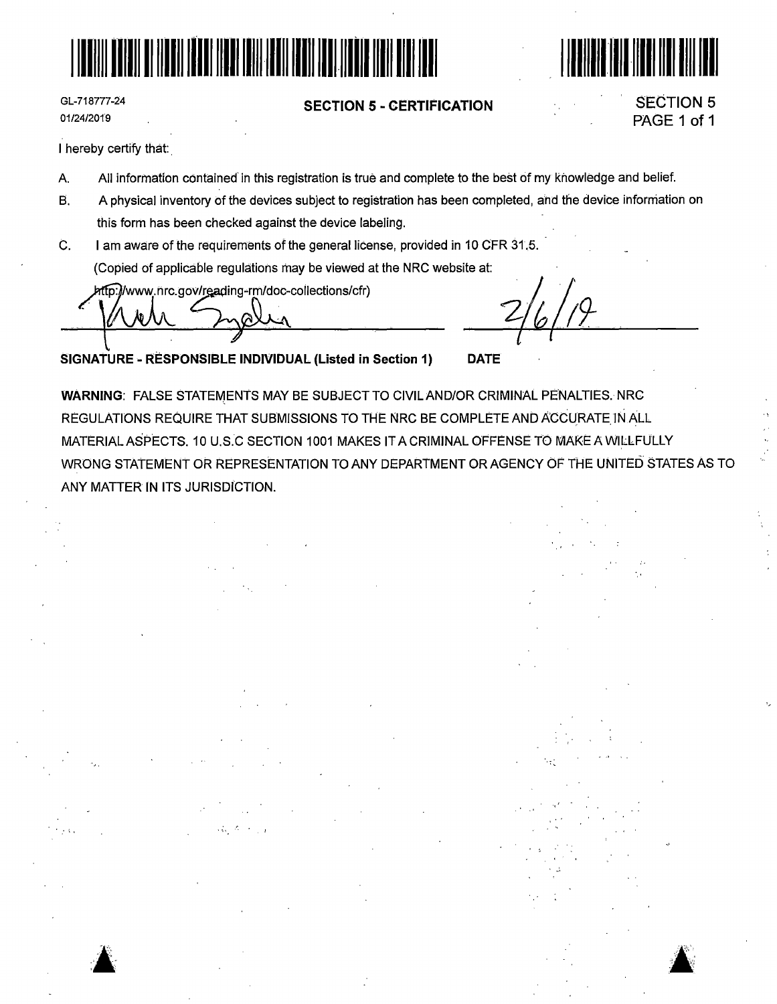



GL-718777-24 01/24/2019

### **SECTION 5** - **CERTIFICATION**

# SECTION 5 PAGE 1 of 1

**a:** 

I hereby certify that:

- A. All information contained in this registration is true and complete to the best of my knowledge and belief.
- B. A physical inventory of the devices subject to registration has been completed, and the device information on this form has been checked against the device labeling.
- C. I am aware of the requirements of the general license, provided in 10 CFR 31.5. (Copied of applicable regulations may be viewed at the NRC website at:

http://www.nrc.gov/reading-rm/doc-collections/cfr)

**SIGNATURE** - **RESPONSIBLE INDIVIDUAL (Listed in Section 1) DATE** 

**WARNING: FALSE STATEMENTS MAY BE SUBJECT TO CIVIL AND/OR CRIMINAL PENALTIES. NRC** REGULATIONS REQUIRE THAT SUBMISSIONS TO THE NRC BE COMPLETE AND ACCURATE IN ALL MATERIAL ASPECTS. 10 U.S.C SECTION 1001 MAKES IT A CRIMINAL OFFENSE TO MAKE A WILLFULLY WRONG STATEMENT OR REPRESENTATION TO ANY DEPARTMENT OR AGENCY OF THE UNITED STATES AS TO ANY MATIER IN ITS JURISDICTION.

**A**